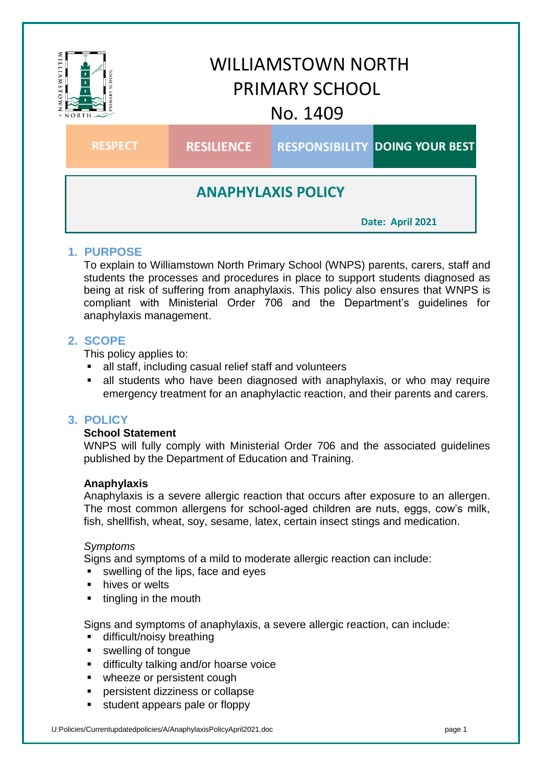

# **1. PURPOSE**

To explain to Williamstown North Primary School (WNPS) parents, carers, staff and students the processes and procedures in place to support students diagnosed as being at risk of suffering from anaphylaxis. This policy also ensures that WNPS is compliant with Ministerial Order 706 and the Department's guidelines for anaphylaxis management.

# **2. SCOPE**

This policy applies to:

- all staff, including casual relief staff and volunteers
- all students who have been diagnosed with anaphylaxis, or who may require emergency treatment for an anaphylactic reaction, and their parents and carers.

# **3. POLICY**

## **School Statement**

WNPS will fully comply with Ministerial Order 706 and the associated guidelines published by the Department of Education and Training.

## **Anaphylaxis**

Anaphylaxis is a severe allergic reaction that occurs after exposure to an allergen. The most common allergens for school-aged children are nuts, eggs, cow's milk, fish, shellfish, wheat, soy, sesame, latex, certain insect stings and medication.

## *Symptoms*

Signs and symptoms of a mild to moderate allergic reaction can include:

- swelling of the lips, face and eyes
- hives or welts
- tingling in the mouth

Signs and symptoms of anaphylaxis, a severe allergic reaction, can include:

- **difficult/noisy breathing**
- **swelling of tongue**
- **difficulty talking and/or hoarse voice**
- wheeze or persistent cough
- persistent dizziness or collapse
- student appears pale or floppy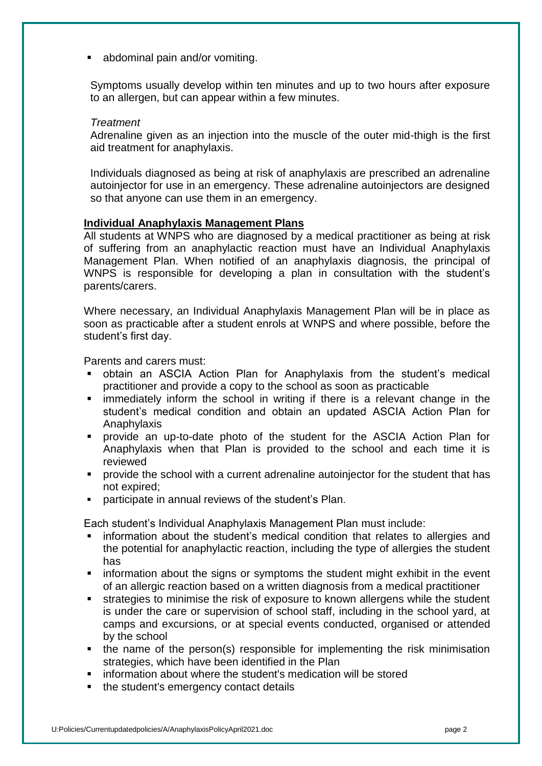abdominal pain and/or vomiting.

Symptoms usually develop within ten minutes and up to two hours after exposure to an allergen, but can appear within a few minutes.

#### *Treatment*

Adrenaline given as an injection into the muscle of the outer mid-thigh is the first aid treatment for anaphylaxis.

Individuals diagnosed as being at risk of anaphylaxis are prescribed an adrenaline autoinjector for use in an emergency. These adrenaline autoinjectors are designed so that anyone can use them in an emergency.

#### **Individual Anaphylaxis Management Plans**

All students at WNPS who are diagnosed by a medical practitioner as being at risk of suffering from an anaphylactic reaction must have an Individual Anaphylaxis Management Plan. When notified of an anaphylaxis diagnosis, the principal of WNPS is responsible for developing a plan in consultation with the student's parents/carers.

Where necessary, an Individual Anaphylaxis Management Plan will be in place as soon as practicable after a student enrols at WNPS and where possible, before the student's first day.

Parents and carers must:

- obtain an ASCIA Action Plan for Anaphylaxis from the student's medical practitioner and provide a copy to the school as soon as practicable
- immediately inform the school in writing if there is a relevant change in the student's medical condition and obtain an updated ASCIA Action Plan for Anaphylaxis
- provide an up-to-date photo of the student for the ASCIA Action Plan for Anaphylaxis when that Plan is provided to the school and each time it is reviewed
- provide the school with a current adrenaline autoinjector for the student that has not expired;
- participate in annual reviews of the student's Plan.

Each student's Individual Anaphylaxis Management Plan must include:

- information about the student's medical condition that relates to allergies and the potential for anaphylactic reaction, including the type of allergies the student has
- **EX information about the signs or symptoms the student might exhibit in the event** of an allergic reaction based on a written diagnosis from a medical practitioner
- strategies to minimise the risk of exposure to known allergens while the student is under the care or supervision of school staff, including in the school yard, at camps and excursions, or at special events conducted, organised or attended by the school
- the name of the person(s) responsible for implementing the risk minimisation strategies, which have been identified in the Plan
- information about where the student's medication will be stored
- the student's emergency contact details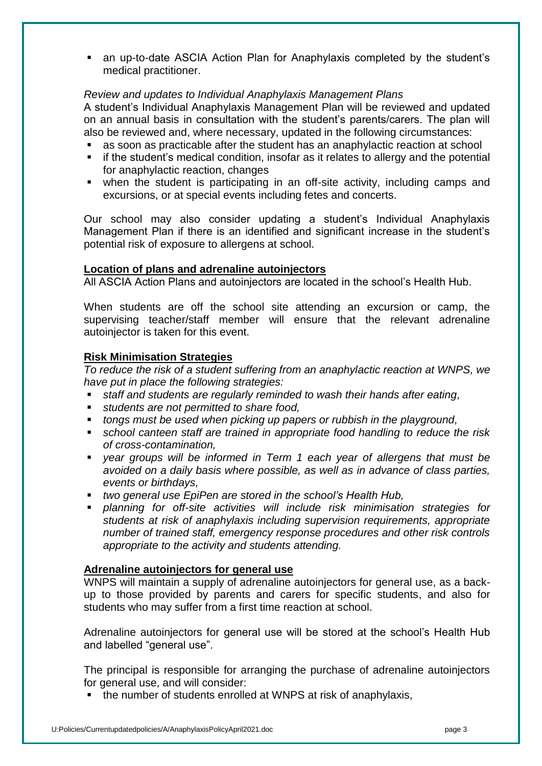an up-to-date ASCIA Action Plan for Anaphylaxis completed by the student's medical practitioner.

## *Review and updates to Individual Anaphylaxis Management Plans*

A student's Individual Anaphylaxis Management Plan will be reviewed and updated on an annual basis in consultation with the student's parents/carers. The plan will also be reviewed and, where necessary, updated in the following circumstances:

- as soon as practicable after the student has an anaphylactic reaction at school
- **EXT** if the student's medical condition, insofar as it relates to allergy and the potential for anaphylactic reaction, changes
- when the student is participating in an off-site activity, including camps and excursions, or at special events including fetes and concerts.

Our school may also consider updating a student's Individual Anaphylaxis Management Plan if there is an identified and significant increase in the student's potential risk of exposure to allergens at school.

#### **Location of plans and adrenaline autoinjectors**

All ASCIA Action Plans and autoinjectors are located in the school's Health Hub.

When students are off the school site attending an excursion or camp, the supervising teacher/staff member will ensure that the relevant adrenaline autoinjector is taken for this event.

#### **Risk Minimisation Strategies**

*To reduce the risk of a student suffering from an anaphylactic reaction at WNPS, we have put in place the following strategies:*

- *staff and students are regularly reminded to wash their hands after eating,*
- *students are not permitted to share food,*
- *tongs must be used when picking up papers or rubbish in the playground,*
- *school canteen staff are trained in appropriate food handling to reduce the risk of cross-contamination,*
- *year groups will be informed in Term 1 each year of allergens that must be avoided on a daily basis where possible, as well as in advance of class parties, events or birthdays,*
- *two general use EpiPen are stored in the school's Health Hub,*
- *planning for off-site activities will include risk minimisation strategies for students at risk of anaphylaxis including supervision requirements, appropriate number of trained staff, emergency response procedures and other risk controls appropriate to the activity and students attending.*

#### **Adrenaline autoinjectors for general use**

WNPS will maintain a supply of adrenaline autoinjectors for general use, as a backup to those provided by parents and carers for specific students, and also for students who may suffer from a first time reaction at school.

Adrenaline autoinjectors for general use will be stored at the school's Health Hub and labelled "general use".

The principal is responsible for arranging the purchase of adrenaline autoinjectors for general use, and will consider:

• the number of students enrolled at WNPS at risk of anaphylaxis,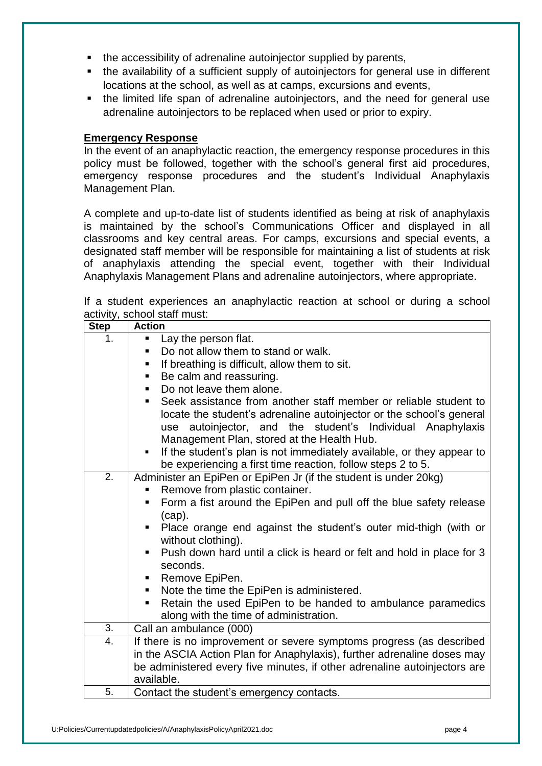- the accessibility of adrenaline autoiniector supplied by parents,
- the availability of a sufficient supply of autoinjectors for general use in different locations at the school, as well as at camps, excursions and events,
- the limited life span of adrenaline autoinjectors, and the need for general use adrenaline autoinjectors to be replaced when used or prior to expiry.

## **Emergency Response**

In the event of an anaphylactic reaction, the emergency response procedures in this policy must be followed, together with the school's general first aid procedures, emergency response procedures and the student's Individual Anaphylaxis Management Plan.

A complete and up-to-date list of students identified as being at risk of anaphylaxis is maintained by the school's Communications Officer and displayed in all classrooms and key central areas. For camps, excursions and special events, a designated staff member will be responsible for maintaining a list of students at risk of anaphylaxis attending the special event, together with their Individual Anaphylaxis Management Plans and adrenaline autoinjectors, where appropriate.

|  |                              | If a student experiences an anaphylactic reaction at school or during a school |  |  |  |  |
|--|------------------------------|--------------------------------------------------------------------------------|--|--|--|--|
|  | activity, school staff must: |                                                                                |  |  |  |  |

| <b>Step</b>      | <b>Action</b>                                                                             |  |  |  |  |  |
|------------------|-------------------------------------------------------------------------------------------|--|--|--|--|--|
| 1.               | Lay the person flat.<br>٠                                                                 |  |  |  |  |  |
|                  | Do not allow them to stand or walk.<br>٠                                                  |  |  |  |  |  |
|                  | If breathing is difficult, allow them to sit.                                             |  |  |  |  |  |
|                  | Be calm and reassuring.                                                                   |  |  |  |  |  |
|                  | Do not leave them alone.                                                                  |  |  |  |  |  |
|                  | Seek assistance from another staff member or reliable student to<br>٠                     |  |  |  |  |  |
|                  | locate the student's adrenaline autoinjector or the school's general                      |  |  |  |  |  |
|                  | autoinjector, and the student's Individual Anaphylaxis<br>use                             |  |  |  |  |  |
|                  | Management Plan, stored at the Health Hub.                                                |  |  |  |  |  |
|                  | If the student's plan is not immediately available, or they appear to<br>$\blacksquare$ . |  |  |  |  |  |
|                  | be experiencing a first time reaction, follow steps 2 to 5.                               |  |  |  |  |  |
| $\overline{2}$ . | Administer an EpiPen or EpiPen Jr (if the student is under 20kg)                          |  |  |  |  |  |
|                  | Remove from plastic container.                                                            |  |  |  |  |  |
|                  | Form a fist around the EpiPen and pull off the blue safety release<br>п                   |  |  |  |  |  |
|                  | (cap).                                                                                    |  |  |  |  |  |
|                  | Place orange end against the student's outer mid-thigh (with or                           |  |  |  |  |  |
|                  | without clothing).                                                                        |  |  |  |  |  |
|                  | Push down hard until a click is heard or felt and hold in place for 3<br>٠.               |  |  |  |  |  |
|                  | seconds.                                                                                  |  |  |  |  |  |
|                  | Remove EpiPen.                                                                            |  |  |  |  |  |
|                  | Note the time the EpiPen is administered.<br>$\blacksquare$                               |  |  |  |  |  |
|                  | Retain the used EpiPen to be handed to ambulance paramedics<br>п                          |  |  |  |  |  |
|                  | along with the time of administration.                                                    |  |  |  |  |  |
| 3.               | Call an ambulance (000)                                                                   |  |  |  |  |  |
| 4.               | If there is no improvement or severe symptoms progress (as described                      |  |  |  |  |  |
|                  | in the ASCIA Action Plan for Anaphylaxis), further adrenaline doses may                   |  |  |  |  |  |
|                  | be administered every five minutes, if other adrenaline autoinjectors are                 |  |  |  |  |  |
|                  | available.                                                                                |  |  |  |  |  |
| 5.               | Contact the student's emergency contacts.                                                 |  |  |  |  |  |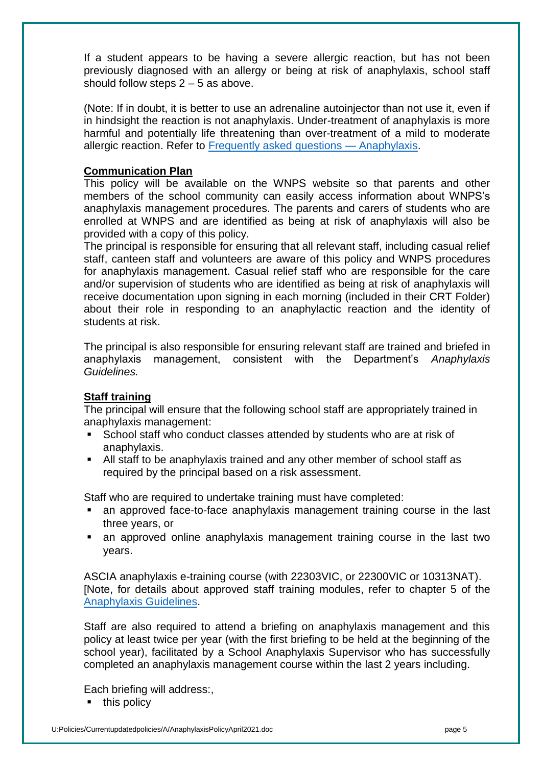If a student appears to be having a severe allergic reaction, but has not been previously diagnosed with an allergy or being at risk of anaphylaxis, school staff should follow steps  $2 - 5$  as above.

(Note: If in doubt, it is better to use an adrenaline autoinjector than not use it, even if in hindsight the reaction is not anaphylaxis. Under-treatment of anaphylaxis is more harmful and potentially life threatening than over-treatment of a mild to moderate allergic reaction. Refer to [Frequently asked questions —](https://nginx-php-content-policy-det-vic-gov-au-production.lagoon.vicsdp.amazee.io/sites/default/files/2020-03/anaphylaxis-faqs.docx) Anaphylaxis.

## **Communication Plan**

This policy will be available on the WNPS website so that parents and other members of the school community can easily access information about WNPS's anaphylaxis management procedures. The parents and carers of students who are enrolled at WNPS and are identified as being at risk of anaphylaxis will also be provided with a copy of this policy.

The principal is responsible for ensuring that all relevant staff, including casual relief staff, canteen staff and volunteers are aware of this policy and WNPS procedures for anaphylaxis management. Casual relief staff who are responsible for the care and/or supervision of students who are identified as being at risk of anaphylaxis will receive documentation upon signing in each morning (included in their CRT Folder) about their role in responding to an anaphylactic reaction and the identity of students at risk.

The principal is also responsible for ensuring relevant staff are trained and briefed in anaphylaxis management, consistent with the Department's *Anaphylaxis Guidelines.*

## **Staff training**

The principal will ensure that the following school staff are appropriately trained in anaphylaxis management:

- School staff who conduct classes attended by students who are at risk of anaphylaxis.
- All staff to be anaphylaxis trained and any other member of school staff as required by the principal based on a risk assessment.

Staff who are required to undertake training must have completed:

- an approved face-to-face anaphylaxis management training course in the last three years, or
- an approved online anaphylaxis management training course in the last two years.

ASCIA anaphylaxis e-training course (with 22303VIC, or 22300VIC or 10313NAT). [Note, for details about approved staff training modules, refer to chapter 5 of the [Anaphylaxis Guidelines.](https://www2.education.vic.gov.au/pal/anaphylaxis/guidance/5-staff-training)

Staff are also required to attend a briefing on anaphylaxis management and this policy at least twice per year (with the first briefing to be held at the beginning of the school year), facilitated by a School Anaphylaxis Supervisor who has successfully completed an anaphylaxis management course within the last 2 years including.

Each briefing will address:,

 $\blacksquare$  this policy

U:Policies/Currentupdatedpolicies/A/AnaphylaxisPolicyApril2021.doc page 5